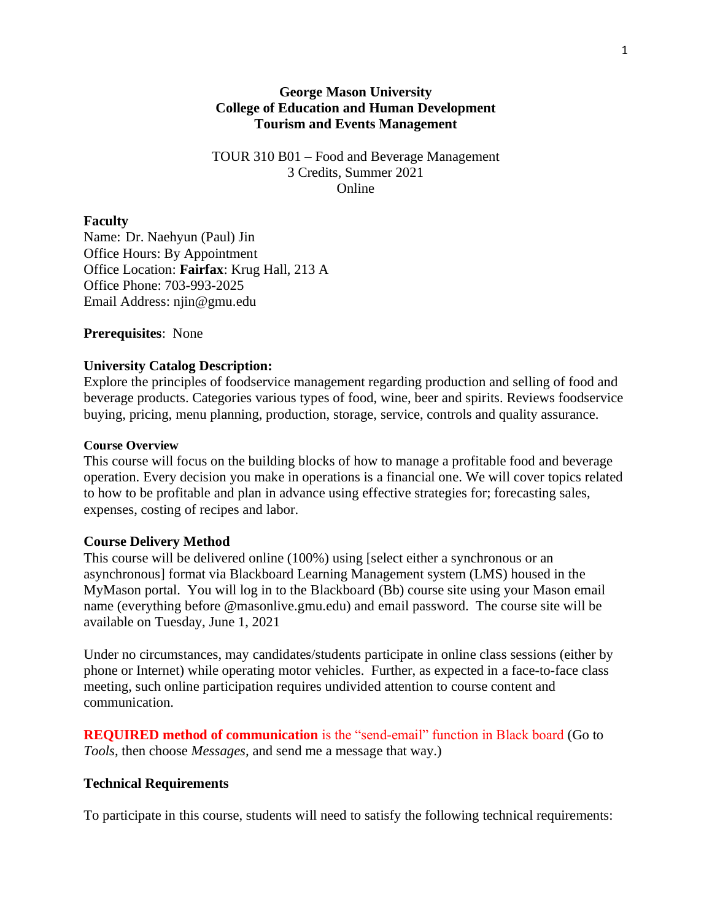#### **George Mason University College of Education and Human Development Tourism and Events Management**

TOUR 310 B01 – Food and Beverage Management 3 Credits, Summer 2021 Online

#### **Faculty**

Name: Dr. Naehyun (Paul) Jin Office Hours: By Appointment Office Location: **Fairfax**: Krug Hall, 213 A Office Phone: 703-993-2025 Email Address: njin@gmu.edu

**Prerequisites**: None

#### **University Catalog Description:**

Explore the principles of foodservice management regarding production and selling of food and beverage products. Categories various types of food, wine, beer and spirits. Reviews foodservice buying, pricing, menu planning, production, storage, service, controls and quality assurance.

#### **Course Overview**

This course will focus on the building blocks of how to manage a profitable food and beverage operation. Every decision you make in operations is a financial one. We will cover topics related to how to be profitable and plan in advance using effective strategies for; forecasting sales, expenses, costing of recipes and labor.

#### **Course Delivery Method**

This course will be delivered online (100%) using [select either a synchronous or an asynchronous] format via Blackboard Learning Management system (LMS) housed in the MyMason portal. You will log in to the Blackboard (Bb) course site using your Mason email name (everything before @masonlive.gmu.edu) and email password. The course site will be available on Tuesday, June 1, 2021

Under no circumstances, may candidates/students participate in online class sessions (either by phone or Internet) while operating motor vehicles. Further, as expected in a face-to-face class meeting, such online participation requires undivided attention to course content and communication.

**REQUIRED method of communication** is the "send-email" function in Black board (Go to *Tools*, then choose *Messages,* and send me a message that way.)

### **Technical Requirements**

To participate in this course, students will need to satisfy the following technical requirements: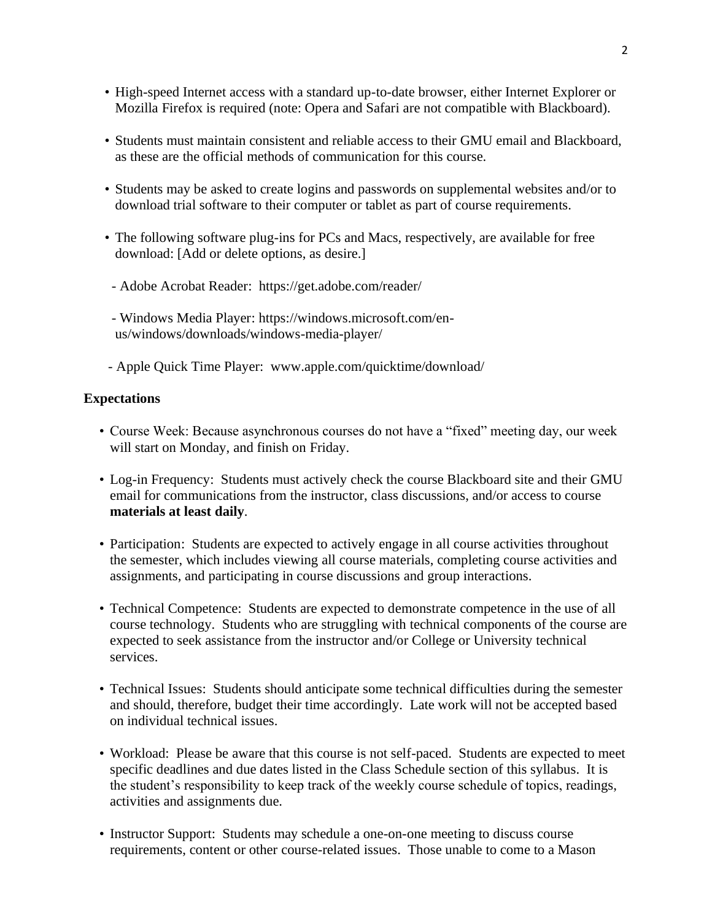- High-speed Internet access with a standard up-to-date browser, either Internet Explorer or Mozilla Firefox is required (note: Opera and Safari are not compatible with Blackboard).
- Students must maintain consistent and reliable access to their GMU email and Blackboard, as these are the official methods of communication for this course.
- Students may be asked to create logins and passwords on supplemental websites and/or to download trial software to their computer or tablet as part of course requirements.
- The following software plug-ins for PCs and Macs, respectively, are available for free download: [Add or delete options, as desire.]
- Adobe Acrobat Reader: https://get.adobe.com/reader/
- Windows Media Player: https://windows.microsoft.com/enus/windows/downloads/windows-media-player/
- Apple Quick Time Player: www.apple.com/quicktime/download/

### **Expectations**

- Course Week: Because asynchronous courses do not have a "fixed" meeting day, our week will start on Monday, and finish on Friday.
- Log-in Frequency: Students must actively check the course Blackboard site and their GMU email for communications from the instructor, class discussions, and/or access to course **materials at least daily**.
- Participation: Students are expected to actively engage in all course activities throughout the semester, which includes viewing all course materials, completing course activities and assignments, and participating in course discussions and group interactions.
- Technical Competence: Students are expected to demonstrate competence in the use of all course technology. Students who are struggling with technical components of the course are expected to seek assistance from the instructor and/or College or University technical services.
- Technical Issues: Students should anticipate some technical difficulties during the semester and should, therefore, budget their time accordingly. Late work will not be accepted based on individual technical issues.
- Workload: Please be aware that this course is not self-paced. Students are expected to meet specific deadlines and due dates listed in the Class Schedule section of this syllabus. It is the student's responsibility to keep track of the weekly course schedule of topics, readings, activities and assignments due.
- Instructor Support: Students may schedule a one-on-one meeting to discuss course requirements, content or other course-related issues. Those unable to come to a Mason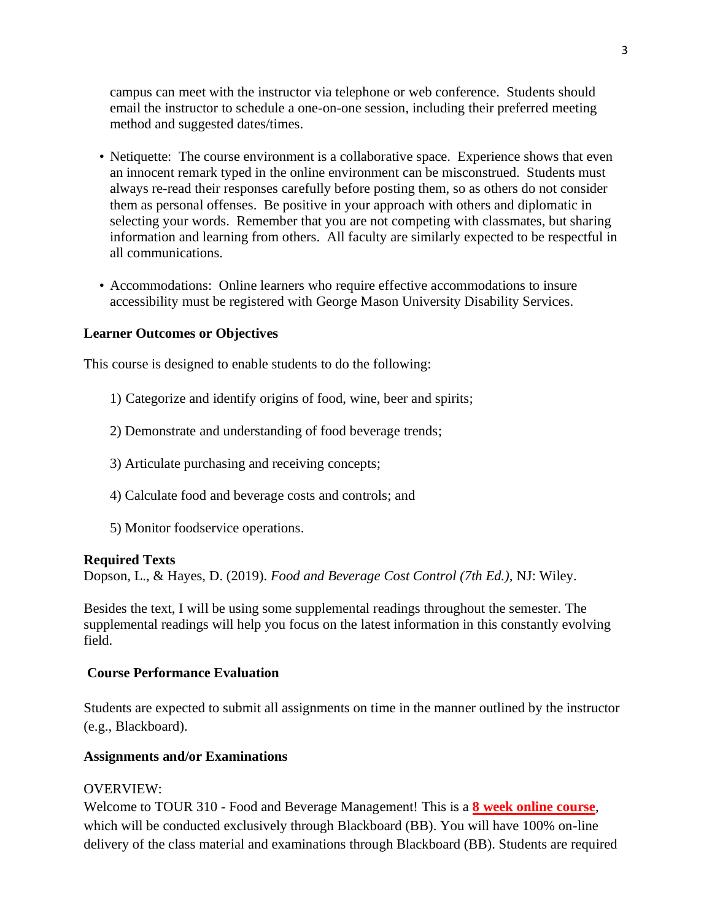campus can meet with the instructor via telephone or web conference. Students should email the instructor to schedule a one-on-one session, including their preferred meeting method and suggested dates/times.

- Netiquette: The course environment is a collaborative space. Experience shows that even an innocent remark typed in the online environment can be misconstrued. Students must always re-read their responses carefully before posting them, so as others do not consider them as personal offenses. Be positive in your approach with others and diplomatic in selecting your words. Remember that you are not competing with classmates, but sharing information and learning from others. All faculty are similarly expected to be respectful in all communications.
- Accommodations: Online learners who require effective accommodations to insure accessibility must be registered with George Mason University Disability Services.

#### **Learner Outcomes or Objectives**

This course is designed to enable students to do the following:

- 1) Categorize and identify origins of food, wine, beer and spirits;
- 2) Demonstrate and understanding of food beverage trends;
- 3) Articulate purchasing and receiving concepts;
- 4) Calculate food and beverage costs and controls; and
- 5) Monitor foodservice operations.

#### **Required Texts**

Dopson, L., & Hayes, D. (2019). *Food and Beverage Cost Control (7th Ed.),* NJ: Wiley.

Besides the text, I will be using some supplemental readings throughout the semester. The supplemental readings will help you focus on the latest information in this constantly evolving field.

#### **Course Performance Evaluation**

Students are expected to submit all assignments on time in the manner outlined by the instructor (e.g., Blackboard).

#### **Assignments and/or Examinations**

#### OVERVIEW:

Welcome to TOUR 310 - Food and Beverage Management! This is a **8 week online course**, which will be conducted exclusively through Blackboard (BB). You will have 100% on-line delivery of the class material and examinations through Blackboard (BB). Students are required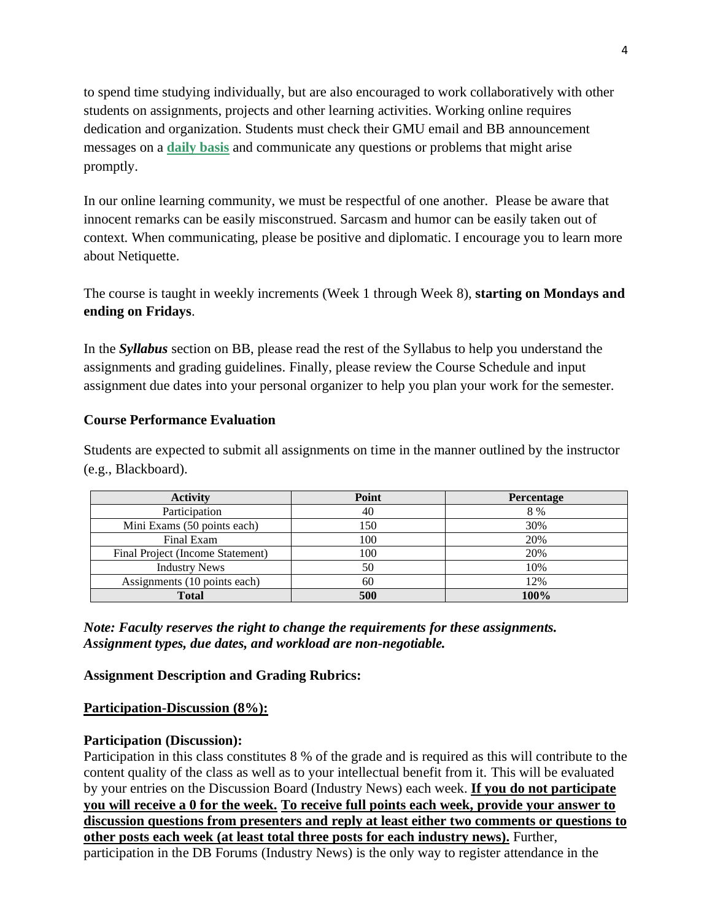to spend time studying individually, but are also encouraged to work collaboratively with other students on assignments, projects and other learning activities. Working online requires dedication and organization. Students must check their GMU email and BB announcement messages on a **daily basis** and communicate any questions or problems that might arise promptly.

In our online learning community, we must be respectful of one another. Please be aware that innocent remarks can be easily misconstrued. Sarcasm and humor can be easily taken out of context. When communicating, please be positive and diplomatic. I encourage you to learn more about Netiquette.

The course is taught in weekly increments (Week 1 through Week 8), **starting on Mondays and ending on Fridays**.

In the *Syllabus* section on BB, please read the rest of the Syllabus to help you understand the assignments and grading guidelines. Finally, please review the Course Schedule and input assignment due dates into your personal organizer to help you plan your work for the semester.

### **Course Performance Evaluation**

Students are expected to submit all assignments on time in the manner outlined by the instructor (e.g., Blackboard).

| <b>Activity</b>                  | Point | <b>Percentage</b> |
|----------------------------------|-------|-------------------|
| Participation                    | 40    | 8 %               |
| Mini Exams (50 points each)      | 150   | 30%               |
| Final Exam                       | 100   | 20%               |
| Final Project (Income Statement) | 100   | 20%               |
| <b>Industry News</b>             | 50    | 10%               |
| Assignments (10 points each)     | 60    | 12%               |
| <b>Total</b>                     | 500   | 100%              |

*Note: Faculty reserves the right to change the requirements for these assignments. Assignment types, due dates, and workload are non-negotiable.*

# **Assignment Description and Grading Rubrics:**

### **Participation-Discussion (8%):**

### **Participation (Discussion):**

Participation in this class constitutes 8 % of the grade and is required as this will contribute to the content quality of the class as well as to your intellectual benefit from it. This will be evaluated by your entries on the Discussion Board (Industry News) each week. **If you do not participate you will receive a 0 for the week. To receive full points each week, provide your answer to discussion questions from presenters and reply at least either two comments or questions to other posts each week (at least total three posts for each industry news).** Further, participation in the DB Forums (Industry News) is the only way to register attendance in the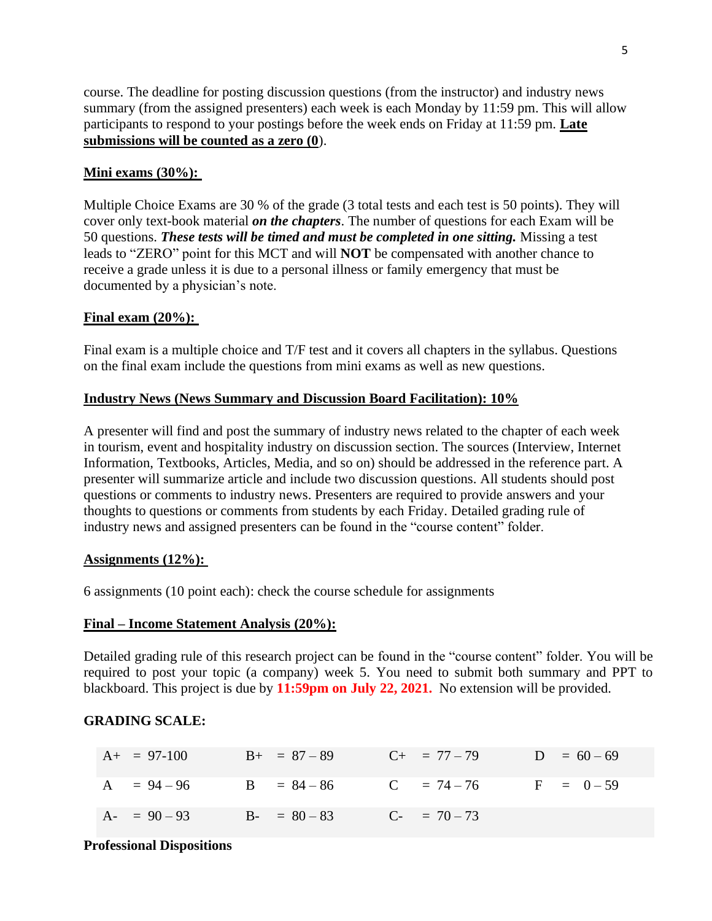course. The deadline for posting discussion questions (from the instructor) and industry news summary (from the assigned presenters) each week is each Monday by 11:59 pm. This will allow participants to respond to your postings before the week ends on Friday at 11:59 pm. **Late submissions will be counted as a zero (0**).

### **Mini exams (30%):**

Multiple Choice Exams are 30 % of the grade (3 total tests and each test is 50 points). They will cover only text-book material *on the chapters*. The number of questions for each Exam will be 50 questions. *These tests will be timed and must be completed in one sitting.* Missing a test leads to "ZERO" point for this MCT and will **NOT** be compensated with another chance to receive a grade unless it is due to a personal illness or family emergency that must be documented by a physician's note.

### **Final exam (20%):**

Final exam is a multiple choice and T/F test and it covers all chapters in the syllabus. Questions on the final exam include the questions from mini exams as well as new questions.

### **Industry News (News Summary and Discussion Board Facilitation): 10%**

A presenter will find and post the summary of industry news related to the chapter of each week in tourism, event and hospitality industry on discussion section. The sources (Interview, Internet Information, Textbooks, Articles, Media, and so on) should be addressed in the reference part. A presenter will summarize article and include two discussion questions. All students should post questions or comments to industry news. Presenters are required to provide answers and your thoughts to questions or comments from students by each Friday. Detailed grading rule of industry news and assigned presenters can be found in the "course content" folder.

### **Assignments (12%):**

6 assignments (10 point each): check the course schedule for assignments

### **Final – Income Statement Analysis (20%):**

Detailed grading rule of this research project can be found in the "course content" folder. You will be required to post your topic (a company) week 5. You need to submit both summary and PPT to blackboard. This project is due by **11:59pm on July 22, 2021.** No extension will be provided.

# **GRADING SCALE:**

| $A+ = 97-100$                                  | $B + = 87 - 89$ $C + = 77 - 79$ $D = 60 - 69$ |  |  |
|------------------------------------------------|-----------------------------------------------|--|--|
| A = $94-96$ B = $84-86$ C = $74-76$ F = $0-59$ |                                               |  |  |
| A- = $90-93$ B- = $80-83$ C- = $70-73$         |                                               |  |  |

#### **Professional Dispositions**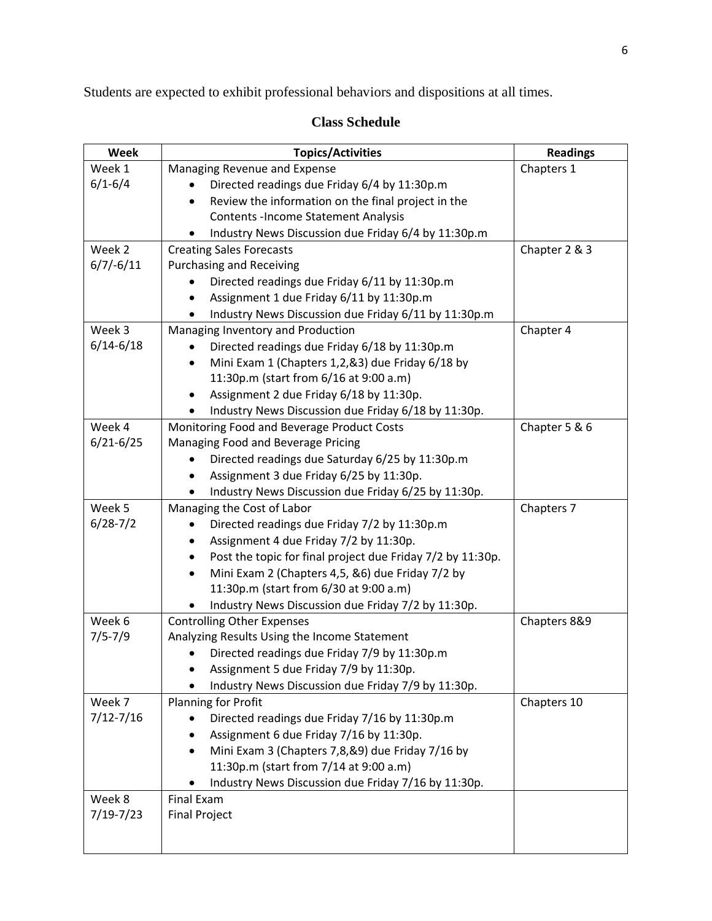Students are expected to exhibit professional behaviors and dispositions at all times.

# **Class Schedule**

| Week          | <b>Topics/Activities</b>                                                               | <b>Readings</b> |
|---------------|----------------------------------------------------------------------------------------|-----------------|
| Week 1        | Managing Revenue and Expense                                                           | Chapters 1      |
| $6/1 - 6/4$   | Directed readings due Friday 6/4 by 11:30p.m                                           |                 |
|               | Review the information on the final project in the<br>$\bullet$                        |                 |
|               | <b>Contents -Income Statement Analysis</b>                                             |                 |
|               | Industry News Discussion due Friday 6/4 by 11:30p.m                                    |                 |
| Week 2        | <b>Creating Sales Forecasts</b>                                                        | Chapter 2 & 3   |
| $6/7/-6/11$   | <b>Purchasing and Receiving</b>                                                        |                 |
|               | Directed readings due Friday 6/11 by 11:30p.m                                          |                 |
|               | Assignment 1 due Friday 6/11 by 11:30p.m                                               |                 |
|               | Industry News Discussion due Friday 6/11 by 11:30p.m                                   |                 |
| Week 3        | Managing Inventory and Production                                                      | Chapter 4       |
| $6/14 - 6/18$ | Directed readings due Friday 6/18 by 11:30p.m                                          |                 |
|               | Mini Exam 1 (Chapters 1,2,&3) due Friday 6/18 by<br>$\bullet$                          |                 |
|               | 11:30p.m (start from 6/16 at 9:00 a.m)                                                 |                 |
|               | Assignment 2 due Friday 6/18 by 11:30p.                                                |                 |
|               | Industry News Discussion due Friday 6/18 by 11:30p.                                    |                 |
| Week 4        | Monitoring Food and Beverage Product Costs                                             | Chapter 5 & 6   |
| $6/21 - 6/25$ | Managing Food and Beverage Pricing                                                     |                 |
|               | Directed readings due Saturday 6/25 by 11:30p.m                                        |                 |
|               | Assignment 3 due Friday 6/25 by 11:30p.                                                |                 |
|               | Industry News Discussion due Friday 6/25 by 11:30p.                                    |                 |
| Week 5        | Managing the Cost of Labor                                                             | Chapters 7      |
| $6/28 - 7/2$  | Directed readings due Friday 7/2 by 11:30p.m                                           |                 |
|               | Assignment 4 due Friday 7/2 by 11:30p.                                                 |                 |
|               | Post the topic for final project due Friday 7/2 by 11:30p.                             |                 |
|               | Mini Exam 2 (Chapters 4,5, &6) due Friday 7/2 by<br>$\bullet$                          |                 |
|               | 11:30p.m (start from 6/30 at 9:00 a.m)                                                 |                 |
|               | Industry News Discussion due Friday 7/2 by 11:30p.                                     |                 |
| Week 6        | <b>Controlling Other Expenses</b>                                                      | Chapters 8&9    |
| $7/5 - 7/9$   | Analyzing Results Using the Income Statement                                           |                 |
|               | Directed readings due Friday 7/9 by 11:30p.m<br>Assignment 5 due Friday 7/9 by 11:30p. |                 |
|               |                                                                                        |                 |
| Week 7        | Industry News Discussion due Friday 7/9 by 11:30p.<br>Planning for Profit              | Chapters 10     |
| $7/12 - 7/16$ | Directed readings due Friday 7/16 by 11:30p.m                                          |                 |
|               | Assignment 6 due Friday 7/16 by 11:30p.                                                |                 |
|               | Mini Exam 3 (Chapters 7,8,&9) due Friday 7/16 by                                       |                 |
|               | 11:30p.m (start from 7/14 at 9:00 a.m)                                                 |                 |
|               | Industry News Discussion due Friday 7/16 by 11:30p.                                    |                 |
| Week 8        | <b>Final Exam</b>                                                                      |                 |
| $7/19 - 7/23$ | <b>Final Project</b>                                                                   |                 |
|               |                                                                                        |                 |
|               |                                                                                        |                 |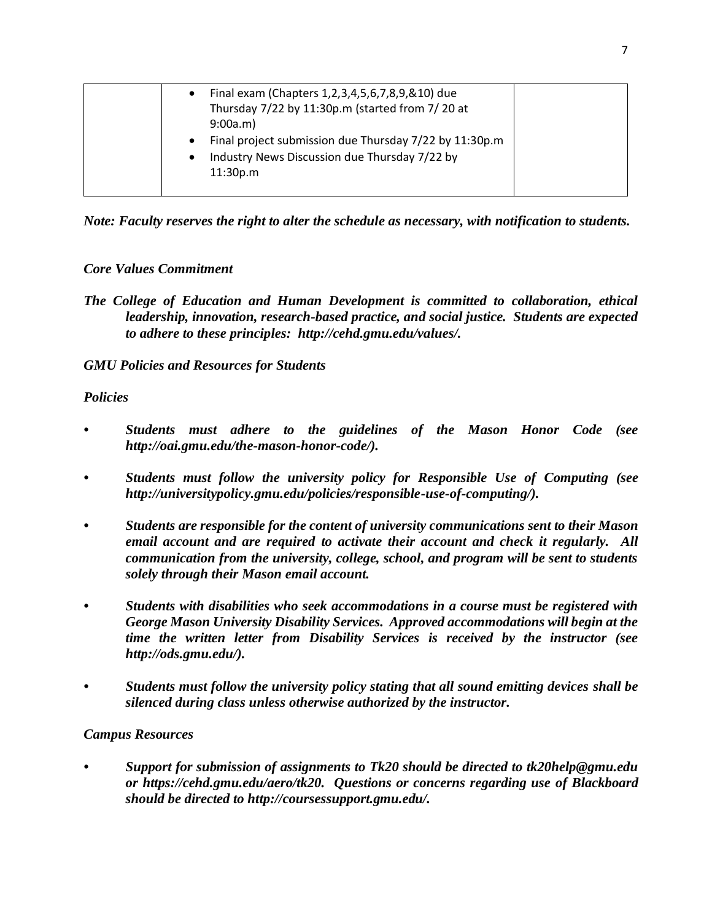| Final exam (Chapters 1,2,3,4,5,6,7,8,9,&10) due<br>$\bullet$<br>Thursday 7/22 by 11:30p.m (started from 7/20 at<br>9:00a.m)<br>Final project submission due Thursday 7/22 by 11:30p.m<br>$\bullet$<br>Industry News Discussion due Thursday 7/22 by<br>$\bullet$<br>11:30p.m |  |
|------------------------------------------------------------------------------------------------------------------------------------------------------------------------------------------------------------------------------------------------------------------------------|--|
|                                                                                                                                                                                                                                                                              |  |

*Note: Faculty reserves the right to alter the schedule as necessary, with notification to students.*

# *Core Values Commitment*

*The College of Education and Human Development is committed to collaboration, ethical leadership, innovation, research-based practice, and social justice. Students are expected to adhere to these principles: http://cehd.gmu.edu/values/.*

# *GMU Policies and Resources for Students*

### *Policies*

- *• Students must adhere to the guidelines of the Mason Honor Code (see http://oai.gmu.edu/the-mason-honor-code/).*
- *• Students must follow the university policy for Responsible Use of Computing (see http://universitypolicy.gmu.edu/policies/responsible-use-of-computing/).*
- *• Students are responsible for the content of university communications sent to their Mason email account and are required to activate their account and check it regularly. All communication from the university, college, school, and program will be sent to students solely through their Mason email account.*
- *• Students with disabilities who seek accommodations in a course must be registered with George Mason University Disability Services. Approved accommodations will begin at the time the written letter from Disability Services is received by the instructor (see http://ods.gmu.edu/).*
- *• Students must follow the university policy stating that all sound emitting devices shall be silenced during class unless otherwise authorized by the instructor.*

# *Campus Resources*

*• Support for submission of assignments to Tk20 should be directed to tk20help@gmu.edu or https://cehd.gmu.edu/aero/tk20. Questions or concerns regarding use of Blackboard should be directed to http://coursessupport.gmu.edu/.*